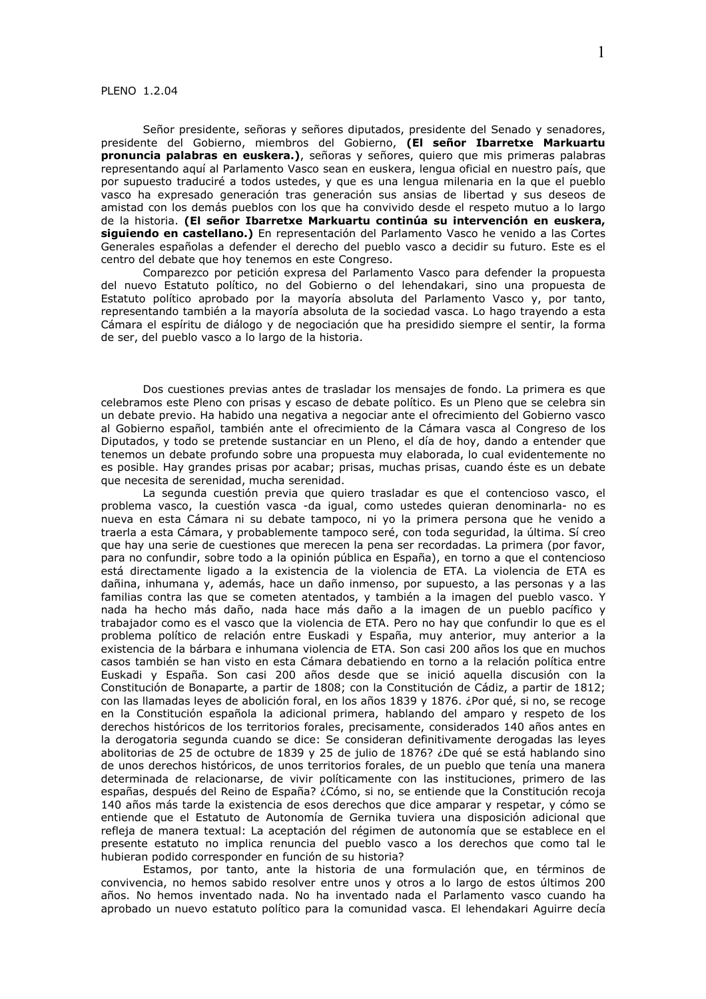## PLENO 1.2.04

Señor presidente, señoras y señores diputados, presidente del Senado y senadores, presidente del Gobierno, miembros del Gobierno, (El señor Ibarretxe Markuartu pronuncia palabras en euskera.), señoras y señores, quiero que mis primeras palabras representando aquí al Parlamento Vasco sean en euskera, lengua oficial en nuestro país, que por supuesto traduciré a todos ustedes, y que es una lengua milenaria en la que el pueblo vasco ha expresado generación tras generación sus ansias de libertad y sus deseos de amistad con los demás pueblos con los que ha convivido desde el respeto mutuo a lo largo de la historia. (El señor Ibarretxe Markuartu continúa su intervención en euskera, siquiendo en castellano.) En representación del Parlamento Vasco he venido a las Cortes Generales españolas a defender el derecho del pueblo vasco a decidir su futuro. Este es el centro del debate que hoy tenemos en este Congreso.

Comparezco por petición expresa del Parlamento Vasco para defender la propuesta del nuevo Estatuto político, no del Gobierno o del lehendakari, sino una propuesta de Estatuto político aprobado por la mayoría absoluta del Parlamento Vasco y, por tanto, representando también a la mayoría absoluta de la sociedad vasca. Lo hago trayendo a esta Cámara el espíritu de diálogo y de negociación que ha presidido siempre el sentir, la forma de ser, del pueblo vasco a lo largo de la historia.

Dos cuestiones previas antes de trasladar los mensajes de fondo. La primera es que celebramos este Pleno con prisas y escaso de debate político. Es un Pleno que se celebra sin un debate previo. Ha habido una negativa a negociar ante el ofrecimiento del Gobierno vasco al Gobierno español, también ante el ofrecimiento de la Cámara vasca al Congreso de los Diputados, y todo se pretende sustanciar en un Pleno, el día de hoy, dando a entender que tenemos un debate profundo sobre una propuesta muy elaborada, lo cual evidentemente no es posible. Hay grandes prisas por acabar; prisas, muchas prisas, cuando éste es un debate que necesita de serenidad, mucha serenidad.

La segunda cuestión previa que quiero trasladar es que el contencioso vasco, el problema vasco, la cuestión vasca -da igual, como ustedes quieran denominarla- no es nueva en esta Cámara ni su debate tampoco, ni yo la primera persona que he venido a traerla a esta Cámara, y probablemente tampoco seré, con toda seguridad, la última. Sí creo que hay una serie de cuestiones que merecen la pena ser recordadas. La primera (por favor, para no confundir, sobre todo a la opinión pública en España), en torno a que el contencioso está directamente ligado a la existencia de la violencia de ETA. La violencia de ETA es dañina, inhumana y, además, hace un daño inmenso, por supuesto, a las personas y a las familias contra las que se cometen atentados, y también a la imagen del pueblo vasco. Y nada ha hecho más daño, nada hace más daño a la imagen de un pueblo pacífico y trabajador como es el vasco que la violencia de ETA. Pero no hay que confundir lo que es el problema político de relación entre Euskadi y España, muy anterior, muy anterior a la existencia de la bárbara e inhumana violencia de ETA. Son casi 200 años los que en muchos casos también se han visto en esta Cámara debatiendo en torno a la relación política entre Euskadi y España. Son casi 200 años desde que se inició aquella discusión con la Constitución de Bonaparte, a partir de 1808; con la Constitución de Cádiz, a partir de 1812; con las llamadas leyes de abolición foral, en los años 1839 y 1876. ¿Por qué, si no, se recoge en la Constitución española la adicional primera, hablando del amparo y respeto de los derechos históricos de los territorios forales, precisamente, considerados 140 años antes en la derogatoria segunda cuando se dice: Se consideran definitivamente derogadas las leyes abolitorias de 25 de octubre de 1839 y 25 de julio de 1876? ¿De qué se está hablando sino de unos derechos históricos, de unos territorios forales, de un pueblo que tenía una manera determinada de relacionarse, de vivir políticamente con las instituciones, primero de las españas, después del Reino de España? ¿Cómo, si no, se entiende que la Constitución recoja 140 años más tarde la existencia de esos derechos que dice amparar y respetar, y cómo se entiende que el Estatuto de Autonomía de Gernika tuviera una disposición adicional que refleja de manera textual: La aceptación del régimen de autonomía que se establece en el presente estatuto no implica renuncia del pueblo vasco a los derechos que como tal le hubieran podido corresponder en función de su historia?

Estamos, por tanto, ante la historia de una formulación que, en términos de convivencia, no hemos sabido resolver entre unos y otros a lo largo de estos últimos 200 años. No hemos inventado nada. No ha inventado nada el Parlamento vasco cuando ha aprobado un nuevo estatuto político para la comunidad vasca. El lehendakari Aguirre decía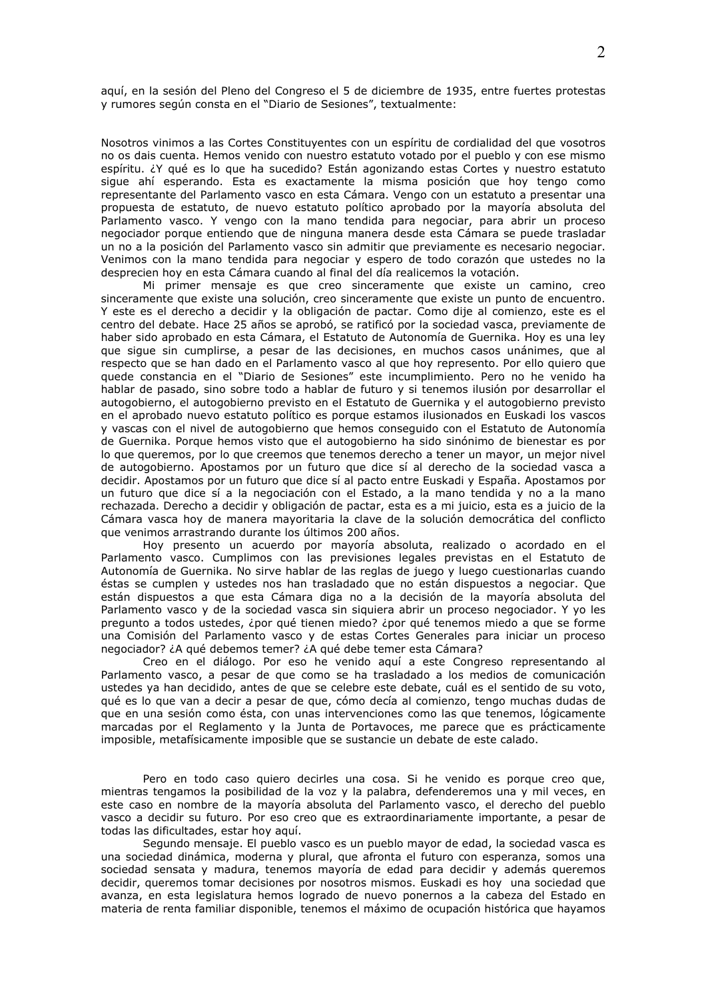aquí, en la sesión del Pleno del Congreso el 5 de diciembre de 1935, entre fuertes protestas y rumores según consta en el "Diario de Sesiones", textualmente:

Nosotros vinimos a las Cortes Constituyentes con un espíritu de cordialidad del que vosotros no os dais cuenta. Hemos venido con nuestro estatuto votado por el pueblo y con ese mismo espíritu. ¿Y qué es lo que ha sucedido? Están agonizando estas Cortes y nuestro estatuto sigue ahí esperando. Esta es exactamente la misma posición que hoy tengo como representante del Parlamento vasco en esta Cámara. Vengo con un estatuto a presentar una propuesta de estatuto, de nuevo estatuto político aprobado por la mayoría absoluta del Parlamento vasco. Y vengo con la mano tendida para negociar, para abrir un proceso negociador porque entiendo que de ninguna manera desde esta Cámara se puede trasladar un no a la posición del Parlamento vasco sin admitir que previamente es necesario negociar. Venimos con la mano tendida para negociar y espero de todo corazón que ustedes no la desprecien hoy en esta Cámara cuando al final del día realicemos la votación.

Mi primer mensaje es que creo sinceramente que existe un camino, creo sinceramente que existe una solución, creo sinceramente que existe un punto de encuentro. Y este es el derecho a decidir y la obligación de pactar. Como dije al comienzo, este es el centro del debate. Hace 25 años se aprobó, se ratificó por la sociedad vasca, previamente de haber sido aprobado en esta Cámara, el Estatuto de Autonomía de Guernika. Hoy es una ley que sique sin cumplirse, a pesar de las decisiones, en muchos casos unánimes, que al respecto que se han dado en el Parlamento vasco al que hoy represento. Por ello quiero que quede constancia en el "Diario de Sesiones" este incumplimiento. Pero no he venido ha hablar de pasado, sino sobre todo a hablar de futuro y si tenemos ilusión por desarrollar el autogobierno, el autogobierno previsto en el Estatuto de Guernika y el autogobierno previsto en el aprobado nuevo estatuto político es porque estamos ilusionados en Euskadi los vascos y vascas con el nivel de autogobierno que hemos conseguido con el Estatuto de Autonomía de Guernika. Porque hemos visto que el autogobierno ha sido sinónimo de bienestar es por lo que queremos, por lo que creemos que tenemos derecho a tener un mayor, un mejor nivel de autogobierno. Apostamos por un futuro que dice sí al derecho de la sociedad vasca a decidir. Apostamos por un futuro que dice sí al pacto entre Euskadi y España. Apostamos por un futuro que dice sí a la negociación con el Estado, a la mano tendida y no a la mano rechazada. Derecho a decidir y obligación de pactar, esta es a mi juicio, esta es a juicio de la Cámara vasca hoy de manera mayoritaria la clave de la solución democrática del conflicto que venimos arrastrando durante los últimos 200 años.

Hoy presento un acuerdo por mayoría absoluta, realizado o acordado en el Parlamento vasco. Cumplimos con las previsiones legales previstas en el Estatuto de Autonomía de Guernika. No sirve hablar de las reglas de juego y luego cuestionarlas cuando éstas se cumplen y ustedes nos han trasladado que no están dispuestos a negociar. Que están dispuestos a que esta Cámara diga no a la decisión de la mayoría absoluta del Parlamento vasco y de la sociedad vasca sin siguiera abrir un proceso negociador. Y yo les pregunto a todos ustedes, ¿por qué tienen miedo? ¿por qué tenemos miedo a que se forme una Comisión del Parlamento vasco y de estas Cortes Generales para iniciar un proceso negociador? ¿A qué debemos temer? ¿A qué debe temer esta Cámara?

Creo en el diálogo. Por eso he venido aguí a este Congreso representando al Parlamento vasco, a pesar de que como se ha trasladado a los medios de comunicación ustedes ya han decidido, antes de que se celebre este debate, cuál es el sentido de su voto, qué es lo que van a decir a pesar de que, cómo decía al comienzo, tengo muchas dudas de que en una sesión como ésta, con unas intervenciones como las que tenemos, lógicamente marcadas por el Reglamento y la Junta de Portavoces, me parece que es prácticamente imposible, metafísicamente imposible que se sustancie un debate de este calado.

Pero en todo caso quiero decirles una cosa. Si he venido es porque creo que, mientras tengamos la posibilidad de la voz y la palabra, defenderemos una y mil veces, en este caso en nombre de la mayoría absoluta del Parlamento vasco, el derecho del pueblo vasco a decidir su futuro. Por eso creo que es extraordinariamente importante, a pesar de todas las dificultades, estar hoy aquí.

Segundo mensaje. El pueblo vasco es un pueblo mayor de edad, la sociedad vasca es una sociedad dinámica, moderna y plural, que afronta el futuro con esperanza, somos una sociedad sensata y madura, tenemos mayoría de edad para decidir y además queremos decidir, queremos tomar decisiones por nosotros mismos. Euskadi es hoy una sociedad que avanza, en esta legislatura hemos logrado de nuevo ponernos a la cabeza del Estado en materia de renta familiar disponible, tenemos el máximo de ocupación histórica que hayamos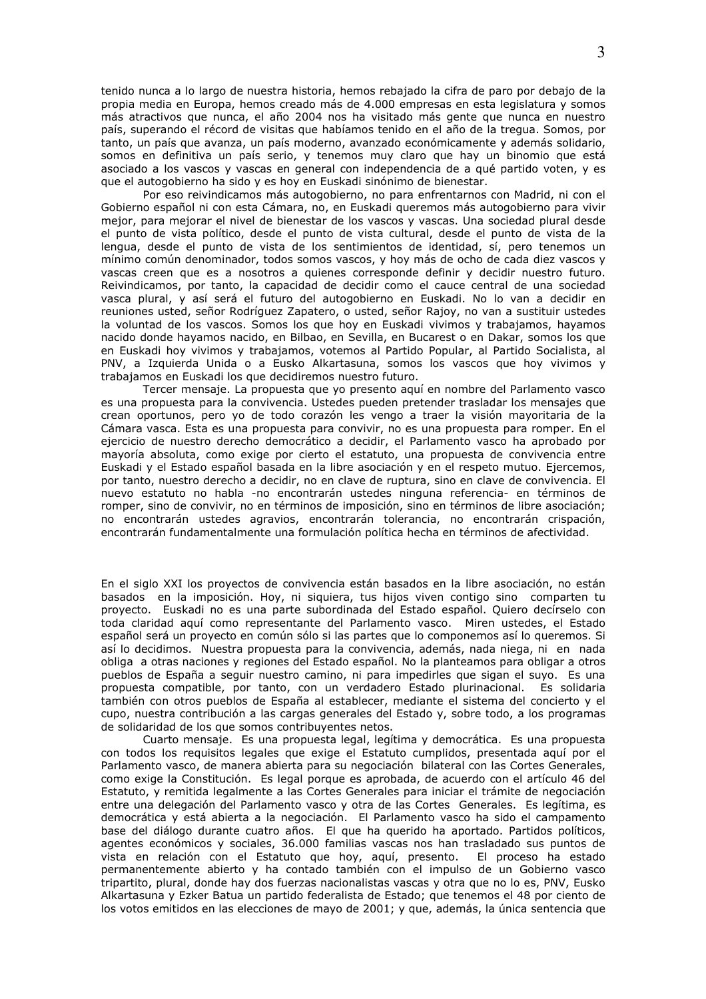tenido nunca a lo largo de nuestra historia, hemos rebajado la cifra de paro por debajo de la propia media en Europa, hemos creado más de 4.000 empresas en esta legislatura y somos más atractivos que nunca, el año 2004 nos ha visitado más gente que nunca en nuestro país, superando el récord de visitas que habíamos tenido en el año de la tregua, Somos, por tanto, un país que avanza, un país moderno, avanzado económicamente y además solidario, somos en definitiva un país serio, y tenemos muy claro que hay un binomio que está asociado a los vascos y vascas en general con independencia de a qué partido voten, y es que el autogobierno ha sido y es hoy en Euskadi sinónimo de bienestar.

Por eso reivindicamos más autogobierno, no para enfrentarnos con Madrid, ni con el Gobierno español ni con esta Cámara, no, en Euskadi queremos más autogobierno para vivir mejor, para mejorar el nivel de bienestar de los vascos y vascas. Una sociedad plural desde el punto de vista político, desde el punto de vista cultural, desde el punto de vista de la lengua, desde el punto de vista de los sentimientos de identidad, sí, pero tenemos un mínimo común denominador, todos somos vascos, y hoy más de ocho de cada diez vascos y vascas creen que es a nosotros a quienes corresponde definir y decidir nuestro futuro. Reivindicamos, por tanto, la capacidad de decidir como el cauce central de una sociedad vasca plural, y así será el futuro del autogobierno en Euskadi. No lo van a decidir en reuniones usted, señor Rodríguez Zapatero, o usted, señor Rajoy, no van a sustituir ustedes la voluntad de los vascos. Somos los que hoy en Euskadi vivimos y trabajamos, hayamos nacido donde hayamos nacido, en Bilbao, en Sevilla, en Bucarest o en Dakar, somos los que en Euskadi hoy vivimos y trabajamos, votemos al Partido Popular, al Partido Socialista, al PNV, a Izquierda Unida o a Eusko Alkartasuna, somos los vascos que hoy vivimos y trabajamos en Euskadi los que decidiremos nuestro futuro.

Tercer mensaje. La propuesta que yo presento aquí en nombre del Parlamento vasco es una propuesta para la convivencia. Ustedes pueden pretender trasladar los mensajes que crean oportunos, pero yo de todo corazón les vengo a traer la visión mayoritaria de la Cámara vasca. Esta es una propuesta para convivir, no es una propuesta para romper. En el ejercicio de nuestro derecho democrático a decidir, el Parlamento vasco ha aprobado por mayoría absoluta, como exige por cierto el estatuto, una propuesta de convivencia entre Euskadi y el Estado español basada en la libre asociación y en el respeto mutuo. Ejercemos, por tanto, nuestro derecho a decidir, no en clave de ruptura, sino en clave de convivencia. El nuevo estatuto no habla -no encontrarán ustedes ninguna referencia- en términos de romper, sino de convivir, no en términos de imposición, sino en términos de libre asociación; no encontrarán ustedes agravios, encontrarán tolerancia, no encontrarán crispación, encontrarán fundamentalmente una formulación política hecha en términos de afectividad.

En el siglo XXI los proyectos de convivencia están basados en la libre asociación, no están basados en la imposición. Hoy, ni siquiera, tus hijos viven contigo sino comparten tu proyecto. Euskadi no es una parte subordinada del Estado español. Quiero decírselo con toda claridad aquí como representante del Parlamento vasco. Miren ustedes, el Estado español será un provecto en común sólo si las partes que lo componemos así lo queremos. Si así lo decidimos. Nuestra propuesta para la convivencia, además, nada niega, ni en nada obliga a otras naciones y regiones del Estado español. No la planteamos para obligar a otros pueblos de España a seguir nuestro camino, ni para impedirles que sigan el suyo. Es una propuesta compatible, por tanto, con un verdadero Estado plurinacional. Es solidaria también con otros pueblos de España al establecer, mediante el sistema del concierto y el cupo, nuestra contribución a las cargas generales del Estado y, sobre todo, a los programas de solidaridad de los que somos contribuyentes netos.

Cuarto mensaje. Es una propuesta legal, legítima y democrática. Es una propuesta con todos los requisitos legales que exige el Estatuto cumplidos, presentada aquí por el Parlamento vasco, de manera abierta para su negociación bilateral con las Cortes Generales, como exige la Constitución. Es legal porque es aprobada, de acuerdo con el artículo 46 del Estatuto, y remitida legalmente a las Cortes Generales para iniciar el trámite de negociación entre una delegación del Parlamento vasco y otra de las Cortes Generales. Es legítima, es democrática y está abierta a la negociación. El Parlamento vasco ha sido el campamento base del diálogo durante cuatro años. El que ha querido ha aportado. Partidos políticos, agentes económicos y sociales, 36.000 familias vascas nos han trasladado sus puntos de vista en relación con el Estatuto que hoy, aquí, presento. El proceso ha estado permanentemente abierto y ha contado también con el impulso de un Gobierno vasco tripartito, plural, donde hay dos fuerzas nacionalistas vascas y otra que no lo es, PNV, Eusko Alkartasuna y Ezker Batua un partido federalista de Estado; que tenemos el 48 por ciento de los votos emitidos en las elecciones de mayo de 2001; y que, además, la única sentencia que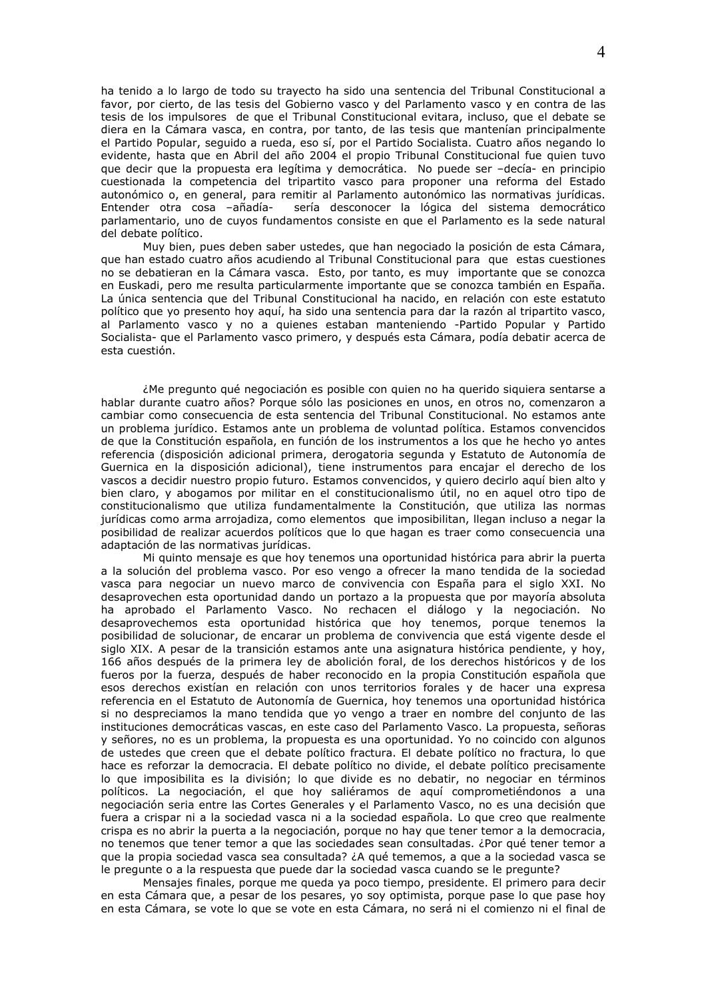ha tenido a lo largo de todo su trayecto ha sido una sentencia del Tribunal Constitucional a favor, por cierto, de las tesis del Gobierno vasco y del Parlamento vasco y en contra de las tesis de los impulsores de que el Tribunal Constitucional evitara, incluso, que el debate se diera en la Cámara vasca, en contra, por tanto, de las tesis que mantenían principalmente el Partido Popular, seguido a rueda, eso sí, por el Partido Socialista. Cuatro años negando lo evidente, hasta que en Abril del año 2004 el propio Tribunal Constitucional fue quien tuvo que decir que la propuesta era legítima y democrática. No puede ser -decía- en principio cuestionada la competencia del tripartito vasco para proponer una reforma del Estado autonómico o, en general, para remitir al Parlamento autonómico las normativas jurídicas. Entender otra cosa -añadíasería desconocer la lógica del sistema democrático parlamentario, uno de cuyos fundamentos consiste en que el Parlamento es la sede natural del debate político.

Muy bien, pues deben saber ustedes, que han negociado la posición de esta Cámara, que han estado cuatro años acudiendo al Tribunal Constitucional para que estas cuestiones no se debatieran en la Cámara vasca. Esto, por tanto, es muy importante que se conozca en Euskadi, pero me resulta particularmente importante que se conozca también en España. La única sentencia que del Tribunal Constitucional ha nacido, en relación con este estatuto político que yo presento hoy aquí, ha sido una sentencia para dar la razón al tripartito vasco, al Parlamento vasco y no a quienes estaban manteniendo -Partido Popular y Partido Socialista- que el Parlamento vasco primero, y después esta Cámara, podía debatir acerca de esta cuestión.

¿Me pregunto qué negociación es posible con quien no ha querido siguiera sentarse a hablar durante cuatro años? Porque sólo las posiciones en unos, en otros no, comenzaron a cambiar como consecuencia de esta sentencia del Tribunal Constitucional. No estamos ante un problema jurídico. Estamos ante un problema de voluntad política. Estamos convencidos de que la Constitución española, en función de los instrumentos a los que he hecho yo antes referencia (disposición adicional primera, derogatoria segunda y Estatuto de Autonomía de Guernica en la disposición adicional), tiene instrumentos para encajar el derecho de los vascos a decidir nuestro propio futuro. Estamos convencidos, y quiero decirlo aquí bien alto y bien claro, y abogamos por militar en el constitucionalismo útil, no en aquel otro tipo de constitucionalismo que utiliza fundamentalmente la Constitución, que utiliza las normas jurídicas como arma arrojadiza, como elementos que imposibilitan, llegan incluso a negar la posibilidad de realizar acuerdos políticos que lo que hagan es traer como consecuencia una adaptación de las normativas jurídicas.

Mi quinto mensaje es que hoy tenemos una oportunidad histórica para abrir la puerta a la solución del problema vasco. Por eso vengo a ofrecer la mano tendida de la sociedad vasca para negociar un nuevo marco de convivencia con España para el siglo XXI. No desaprovechen esta oportunidad dando un portazo a la propuesta que por mayoría absoluta ha aprobado el Parlamento Vasco. No rechacen el diálogo y la negociación. No desaprovechemos esta oportunidad histórica que hoy tenemos, porque tenemos la posibilidad de solucionar, de encarar un problema de convivencia que está vigente desde el siglo XIX. A pesar de la transición estamos ante una asignatura histórica pendiente, y hoy, 166 años después de la primera ley de abolición foral, de los derechos históricos y de los fueros por la fuerza, después de haber reconocido en la propia Constitución española que esos derechos existían en relación con unos territorios forales y de hacer una expresa referencia en el Estatuto de Autonomía de Guernica, hoy tenemos una oportunidad histórica si no despreciamos la mano tendida que yo vengo a traer en nombre del conjunto de las instituciones democráticas vascas, en este caso del Parlamento Vasco. La propuesta, señoras y señores, no es un problema, la propuesta es una oportunidad. Yo no coincido con algunos de ustedes que creen que el debate político fractura. El debate político no fractura, lo que hace es reforzar la democracia. El debate político no divide, el debate político precisamente lo que imposibilita es la división; lo que divide es no debatir, no negociar en términos políticos. La negociación, el que hoy saliéramos de aquí comprometiéndonos a una negociación seria entre las Cortes Generales y el Parlamento Vasco, no es una decisión que fuera a crispar ni a la sociedad vasca ni a la sociedad española. Lo que creo que realmente crispa es no abrir la puerta a la negociación, porque no hay que tener temor a la democracia, no tenemos que tener temor a que las sociedades sean consultadas. ¿Por qué tener temor a que la propia sociedad vasca sea consultada? ¿A qué tememos, a que a la sociedad vasca se le pregunte o a la respuesta que puede dar la sociedad vasca cuando se le pregunte?

Mensajes finales, porque me queda ya poco tiempo, presidente. El primero para decir en esta Cámara que, a pesar de los pesares, yo soy optimista, porque pase lo que pase hoy en esta Cámara, se vote lo que se vote en esta Cámara, no será ni el comienzo ni el final de